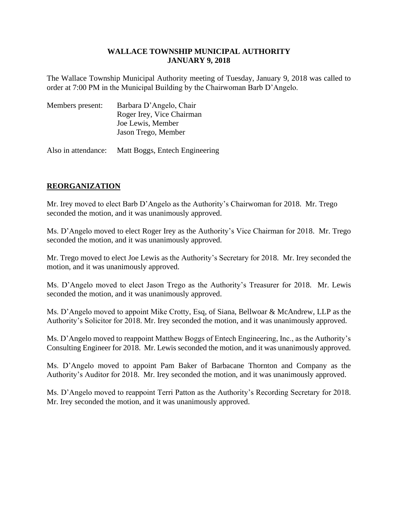The Wallace Township Municipal Authority meeting of Tuesday, January 9, 2018 was called to order at 7:00 PM in the Municipal Building by the Chairwoman Barb D'Angelo.

| Members present: | Barbara D'Angelo, Chair   |
|------------------|---------------------------|
|                  | Roger Irey, Vice Chairman |
|                  | Joe Lewis, Member         |
|                  | Jason Trego, Member       |
|                  |                           |

Also in attendance: Matt Boggs, Entech Engineering

# **REORGANIZATION**

Mr. Irey moved to elect Barb D'Angelo as the Authority's Chairwoman for 2018. Mr. Trego seconded the motion, and it was unanimously approved.

Ms. D'Angelo moved to elect Roger Irey as the Authority's Vice Chairman for 2018. Mr. Trego seconded the motion, and it was unanimously approved.

Mr. Trego moved to elect Joe Lewis as the Authority's Secretary for 2018. Mr. Irey seconded the motion, and it was unanimously approved.

Ms. D'Angelo moved to elect Jason Trego as the Authority's Treasurer for 2018. Mr. Lewis seconded the motion, and it was unanimously approved.

Ms. D'Angelo moved to appoint Mike Crotty, Esq, of Siana, Bellwoar & McAndrew, LLP as the Authority's Solicitor for 2018. Mr. Irey seconded the motion, and it was unanimously approved.

Ms. D'Angelo moved to reappoint Matthew Boggs of Entech Engineering, Inc., as the Authority's Consulting Engineer for 2018. Mr. Lewis seconded the motion, and it was unanimously approved.

Ms. D'Angelo moved to appoint Pam Baker of Barbacane Thornton and Company as the Authority's Auditor for 2018. Mr. Irey seconded the motion, and it was unanimously approved.

Ms. D'Angelo moved to reappoint Terri Patton as the Authority's Recording Secretary for 2018. Mr. Irey seconded the motion, and it was unanimously approved.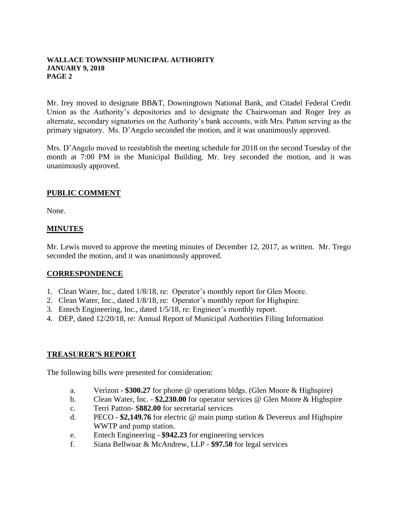Mr. Irey moved to designate BB&T, Downingtown National Bank, and Citadel Federal Credit Union as the Authority's depositories and to designate the Chairwoman and Roger Irey as alternate, secondary signatories on the Authority's bank accounts, with Mrs. Patton serving as the primary signatory. Ms. D'Angelo seconded the motion, and it was unanimously approved.

Mrs. D'Angelo moved to reestablish the meeting schedule for 2018 on the second Tuesday of the month at 7:00 PM in the Municipal Building. Mr. Irey seconded the motion, and it was unanimously approved.

# **PUBLIC COMMENT**

None.

# **MINUTES**

Mr. Lewis moved to approve the meeting minutes of December 12, 2017, as written. Mr. Trego seconded the motion, and it was unanimously approved.

#### **CORRESPONDENCE**

- 1. Clean Water, Inc., dated 1/8/18, re: Operator's monthly report for Glen Moore.
- 2. Clean Water, Inc., dated 1/8/18, re: Operator's monthly report for Highspire.
- 3. Entech Engineering, Inc., dated 1/5/18, re: Engineer's monthly report.
- 4. DEP, dated 12/20/18, re: Annual Report of Municipal Authorities Filing Information

#### **TREASURER'S REPORT**

The following bills were presented for consideration:

- a. Verizon **\$300.27** for phone @ operations bldgs. (Glen Moore & Highspire)
- b. Clean Water, Inc. **\$2,230.00** for operator services @ Glen Moore & Highspire
- c. Terri Patton- \$**882.00** for secretarial services
- d. PECO **\$2,149.76** for electric @ main pump station & Devereux and Highspire WWTP and pump station.
- e. Entech Engineering **\$942.23** for engineering services
- f. Siana Bellwoar & McAndrew, LLP **\$97.50** for legal services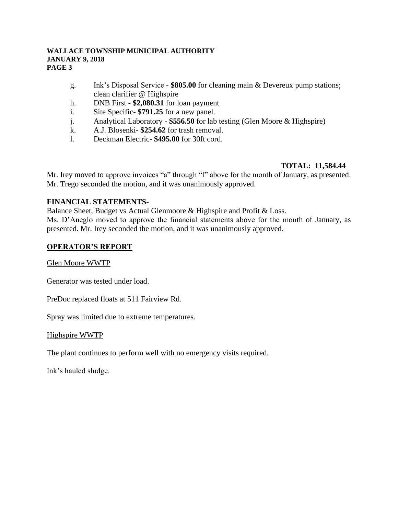- g. Ink's Disposal Service **\$805.00** for cleaning main & Devereux pump stations; clean clarifier @ Highspire
- h. DNB First **\$2,080.31** for loan payment
- i. Site Specific- **\$791.25** for a new panel.
- j. Analytical Laboratory **\$556.50** for lab testing (Glen Moore & Highspire)
- k. A.J. Blosenki- **\$254.62** for trash removal.
- l. Deckman Electric- **\$495.00** for 30ft cord.

# **TOTAL: 11,584.44**

Mr. Irey moved to approve invoices "a" through "l" above for the month of January, as presented. Mr. Trego seconded the motion, and it was unanimously approved.

# **FINANCIAL STATEMENTS**-

Balance Sheet, Budget vs Actual Glenmoore & Highspire and Profit & Loss. Ms. D'Aneglo moved to approve the financial statements above for the month of January, as presented. Mr. Irey seconded the motion, and it was unanimously approved.

# **OPERATOR'S REPORT**

Glen Moore WWTP

Generator was tested under load.

PreDoc replaced floats at 511 Fairview Rd.

Spray was limited due to extreme temperatures.

#### Highspire WWTP

The plant continues to perform well with no emergency visits required.

Ink's hauled sludge.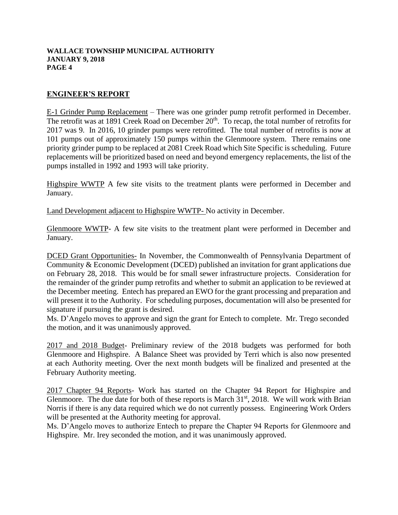# **ENGINEER'S REPORT**

E-1 Grinder Pump Replacement – There was one grinder pump retrofit performed in December. The retrofit was at 1891 Creek Road on December  $20<sup>th</sup>$ . To recap, the total number of retrofits for 2017 was 9. In 2016, 10 grinder pumps were retrofitted. The total number of retrofits is now at 101 pumps out of approximately 150 pumps within the Glenmoore system. There remains one priority grinder pump to be replaced at 2081 Creek Road which Site Specific is scheduling. Future replacements will be prioritized based on need and beyond emergency replacements, the list of the pumps installed in 1992 and 1993 will take priority.

Highspire WWTP A few site visits to the treatment plants were performed in December and January.

Land Development adjacent to Highspire WWTP- No activity in December.

Glenmoore WWTP- A few site visits to the treatment plant were performed in December and January.

DCED Grant Opportunities- In November, the Commonwealth of Pennsylvania Department of Community & Economic Development (DCED) published an invitation for grant applications due on February 28, 2018. This would be for small sewer infrastructure projects. Consideration for the remainder of the grinder pump retrofits and whether to submit an application to be reviewed at the December meeting. Entech has prepared an EWO for the grant processing and preparation and will present it to the Authority. For scheduling purposes, documentation will also be presented for signature if pursuing the grant is desired.

Ms. D'Angelo moves to approve and sign the grant for Entech to complete. Mr. Trego seconded the motion, and it was unanimously approved.

2017 and 2018 Budget- Preliminary review of the 2018 budgets was performed for both Glenmoore and Highspire. A Balance Sheet was provided by Terri which is also now presented at each Authority meeting. Over the next month budgets will be finalized and presented at the February Authority meeting.

2017 Chapter 94 Reports- Work has started on the Chapter 94 Report for Highspire and Glenmoore. The due date for both of these reports is March  $31<sup>st</sup>$ , 2018. We will work with Brian Norris if there is any data required which we do not currently possess. Engineering Work Orders will be presented at the Authority meeting for approval.

Ms. D'Angelo moves to authorize Entech to prepare the Chapter 94 Reports for Glenmoore and Highspire. Mr. Irey seconded the motion, and it was unanimously approved.